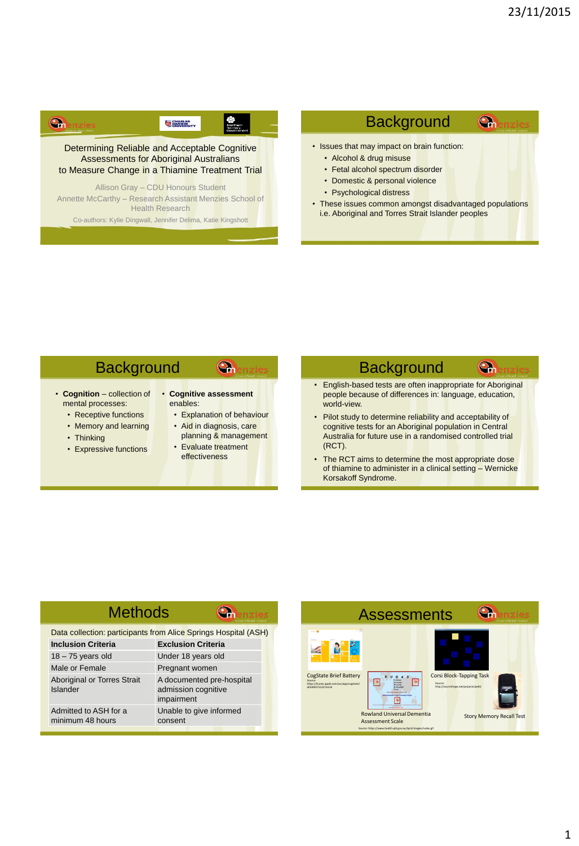## G **EXAMPLES**

Assessments to Abonginal Australians<br>to Measure Change in a Thiamine Treatment Trial Determining Reliable and Acceptable Cognitive Assessments for Aboriginal Australians

Annette McCarthy – Research Assistant Menzies School of Allison Gray – CDU Honours Student Health Research

Co-authors: Kylie Dingwall, Jennifer Delima, Katie Kingshott

#### **Background**  $\mathbf{Q}_n$

- Issues that may impact on brain function:
	- Alcohol & drug misuse
	- Alcohol & drug misuse<br>• Fetal alcohol spectrum disorder
	- Domestic & personal violence
	- Psychological distress
- Psychological distress<br>• These issues common amongst disadvantaged populations i.e. Aboriginal and Torres Strait Islander peoples

## **Background**

- **Cognition** collection of mental processes:
	- Receptive functions
	- Memory and learning • Thinking
	-
	- Expressive functions

#### • **Cognitive assessment** enables:

Final processes.<br>Receptive functions **Explanation** of behaviour

Gh

- Aid in diagnosis, care planning & management
- **COLICITE STATES**<br>Figure style functions **•** Evaluate treatment effectiveness

# **Background**

• English-based tests are often inappropriate for Aboriginal people because of differences in: language, education, world-view.

 $\mathbf{G}_{\mathbf{h}}$ 

- wond-view.<br>• Pilot study to determine reliability and acceptability of Australia for future use in a randomised controlled trial<br>(RCT). cognitive tests for an Aboriginal population in Central (RCT).
- The RCT aims to determine the most appropriate dose of thiamine to administer in a clinical setting – Wernicke Korsakoff Syndrome.

### **Methods** Gh Data collection: participants from Alice Springs Hospital (ASH) **Inclusion Criteria Exclusion Criteria**

| וויטושטוטו שונכוות                        | LAUIUSIUII UHIGHA                                              |
|-------------------------------------------|----------------------------------------------------------------|
| $18 - 75$ years old                       | Under 18 years old                                             |
| Male or Female                            | Pregnant women                                                 |
| Aboriginal or Torres Strait<br>Islander   | A documented pre-hospital<br>admission cognitive<br>impairment |
| Admitted to ASH for a<br>minimum 48 hours | Unable to give informed<br>consent                             |
|                                           |                                                                |

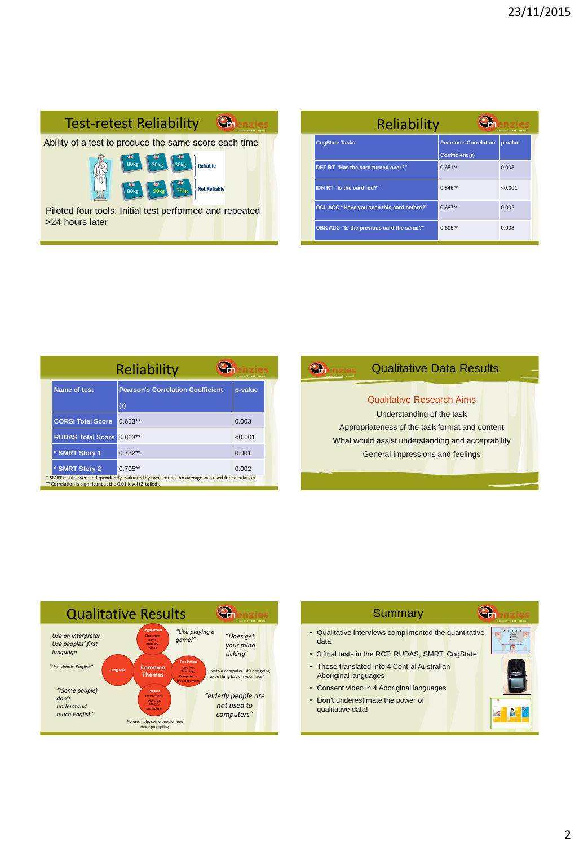

| Reliability<br>school of health research |                                                 |         |  |
|------------------------------------------|-------------------------------------------------|---------|--|
| <b>CogState Tasks</b>                    | <b>Pearson's Correlation</b><br>Coefficient (r) | p-value |  |
| DET RT "Has the card turned over?"       | $0.651**$                                       | 0.003   |  |
| IDN RT "Is the card red?"                | $0.846**$                                       | < 0.001 |  |
| OCLACC "Have you seen this card before?" | $0.687**$                                       | 0.002   |  |
| OBK ACC "Is the previous card the same?" | $0.605**$                                       | 0.008   |  |

|                                                            | Reliability                                                                                      | refered of basich compareb |
|------------------------------------------------------------|--------------------------------------------------------------------------------------------------|----------------------------|
| Name of test                                               | <b>Pearson's Correlation Coefficient</b>                                                         | p-value                    |
|                                                            | (r)                                                                                              |                            |
| <b>CORSI Total Score</b>                                   | $0.653**$                                                                                        | 0.003                      |
| <b>RUDAS Total Score</b>                                   | $0.863**$                                                                                        | < 0.001                    |
| * SMRT Story 1                                             | $0.732**$                                                                                        | 0.001                      |
| * SMRT Story 2                                             | $0.705**$                                                                                        | 0.002                      |
| **Correlation is significant at the 0.01 level (2-tailed). | * SMRT results were independently evaluated by two scorers. An average was used for calculation. |                            |

#### Qualitative Data Results  $\bigodot$

## Qualitative Research Aims

**Click to edit Master the task of the task of the task of the task of the task** What would assist understanding and ac<mark>ce</mark>ptability Appropriateness of the task format and content General impressions and feelings